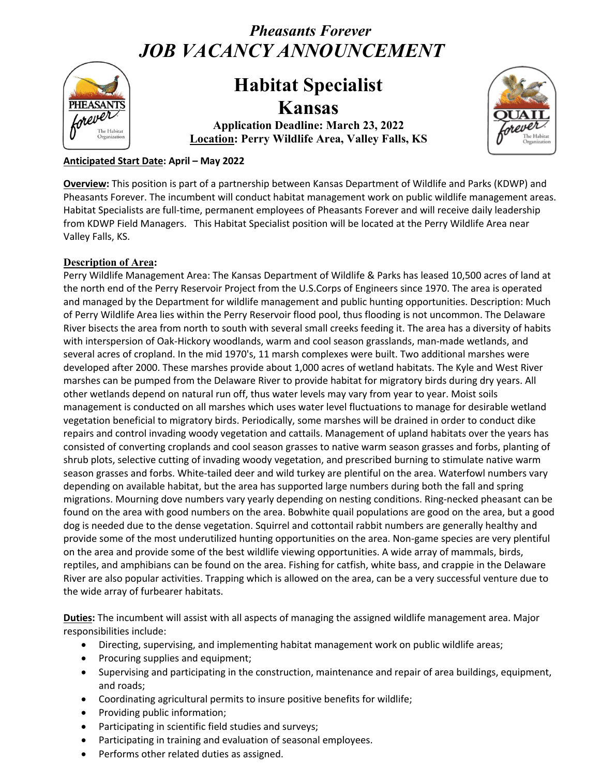# *Pheasants Forever JOB VACANCY ANNOUNCEMENT*



## **Habitat Specialist Kansas**

**Application Deadline: March 23, 2022 Location: Perry Wildlife Area, Valley Falls, KS**



## **Anticipated Start Date: April – May 2022**

**Overview:** This position is part of a partnership between Kansas Department of Wildlife and Parks (KDWP) and Pheasants Forever. The incumbent will conduct habitat management work on public wildlife management areas. Habitat Specialists are full-time, permanent employees of Pheasants Forever and will receive daily leadership from KDWP Field Managers. This Habitat Specialist position will be located at the Perry Wildlife Area near Valley Falls, KS.

#### **Description of Area:**

Perry Wildlife Management Area: The Kansas Department of Wildlife & Parks has leased 10,500 acres of land at the north end of the Perry Reservoir Project from the U.S.Corps of Engineers since 1970. The area is operated and managed by the Department for wildlife management and public hunting opportunities. Description: Much of Perry Wildlife Area lies within the Perry Reservoir flood pool, thus flooding is not uncommon. The Delaware River bisects the area from north to south with several small creeks feeding it. The area has a diversity of habits with interspersion of Oak-Hickory woodlands, warm and cool season grasslands, man-made wetlands, and several acres of cropland. In the mid 1970's, 11 marsh complexes were built. Two additional marshes were developed after 2000. These marshes provide about 1,000 acres of wetland habitats. The Kyle and West River marshes can be pumped from the Delaware River to provide habitat for migratory birds during dry years. All other wetlands depend on natural run off, thus water levels may vary from year to year. Moist soils management is conducted on all marshes which uses water level fluctuations to manage for desirable wetland vegetation beneficial to migratory birds. Periodically, some marshes will be drained in order to conduct dike repairs and control invading woody vegetation and cattails. Management of upland habitats over the years has consisted of converting croplands and cool season grasses to native warm season grasses and forbs, planting of shrub plots, selective cutting of invading woody vegetation, and prescribed burning to stimulate native warm season grasses and forbs. White-tailed deer and wild turkey are plentiful on the area. Waterfowl numbers vary depending on available habitat, but the area has supported large numbers during both the fall and spring migrations. Mourning dove numbers vary yearly depending on nesting conditions. Ring-necked pheasant can be found on the area with good numbers on the area. Bobwhite quail populations are good on the area, but a good dog is needed due to the dense vegetation. Squirrel and cottontail rabbit numbers are generally healthy and provide some of the most underutilized hunting opportunities on the area. Non-game species are very plentiful on the area and provide some of the best wildlife viewing opportunities. A wide array of mammals, birds, reptiles, and amphibians can be found on the area. Fishing for catfish, white bass, and crappie in the Delaware River are also popular activities. Trapping which is allowed on the area, can be a very successful venture due to the wide array of furbearer habitats.

**Duties:** The incumbent will assist with all aspects of managing the assigned wildlife management area. Major responsibilities include:

- Directing, supervising, and implementing habitat management work on public wildlife areas;
- Procuring supplies and equipment;
- Supervising and participating in the construction, maintenance and repair of area buildings, equipment, and roads;
- Coordinating agricultural permits to insure positive benefits for wildlife;
- Providing public information;
- Participating in scientific field studies and surveys;
- Participating in training and evaluation of seasonal employees.
- Performs other related duties as assigned.